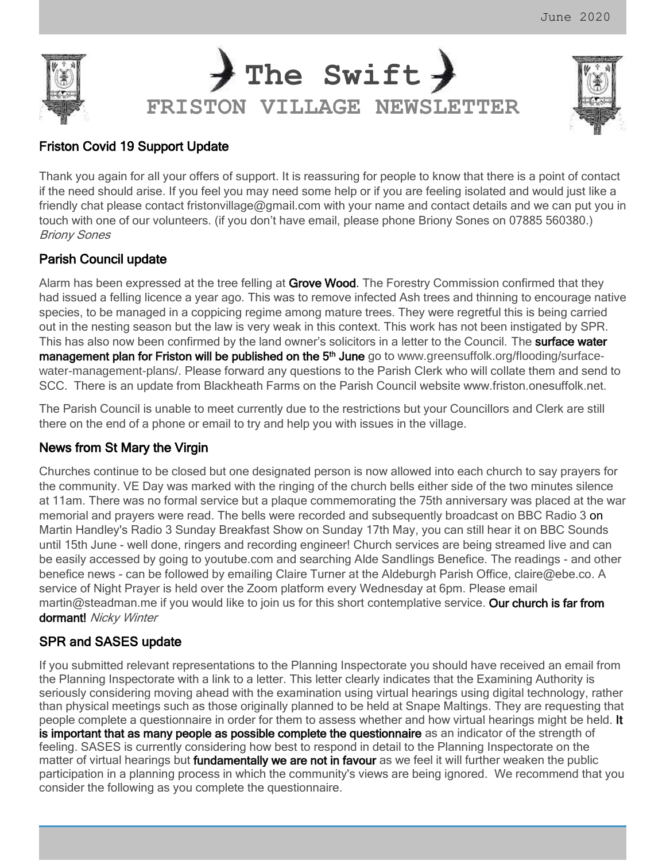



# Friston Covid 19 Support Update

Thank you again for all your offers of support. It is reassuring for people to know that there is a point of contact if the need should arise. If you feel you may need some help or if you are feeling isolated and would just like a friendly chat please contact [fristonvillage@gmail.com](mailto:fristonvillage@gmail.com) with your name and contact details and we can put you in touch with one of our volunteers. (if you don't have email, please phone Briony Sones on 07885 560380.) Briony Sones

# Parish Council update

Alarm has been expressed at the tree felling at Grove Wood. The Forestry Commission confirmed that they had issued a felling licence a year ago. This was to remove infected Ash trees and thinning to encourage native species, to be managed in a coppicing regime among mature trees. They were regretful this is being carried out in the nesting season but the law is very weak in this context. This work has not been instigated by SPR. This has also now been confirmed by the land owner's solicitors in a letter to the Council. The surface water management plan for Friston will be published on the 5<sup>th</sup> June go to www.greensuffolk.org/flooding/surfacewater-management-plans/. Please forward any questions to the Parish Clerk who will collate them and send to SCC. There is an update from Blackheath Farms on the Parish Council website www.friston.onesuffolk.net.

The Parish Council is unable to meet currently due to the restrictions but your Councillors and Clerk are still there on the end of a phone or email to try and help you with issues in the village.

# News from St Mary the Virgin

Churches continue to be closed but one designated person is now allowed into each church to say prayers for the community. VE Day was marked with the ringing of the church bells either side of the two minutes silence at 11am. There was no formal service but a plaque commemorating the 75th anniversary was placed at the war memorial and prayers were read. The bells were recorded and subsequently broadcast on BBC Radio 3 on Martin Handley's Radio 3 Sunday Breakfast Show on Sunday 17th May, you can still hear it on BBC Sounds until 15th June - well done, ringers and recording engineer! Church services are being streamed live and can be easily accessed by going to youtube.com and searching Alde Sandlings Benefice. The readings - and other benefice news - can be followed by emailing Claire Turner at the Aldeburgh Parish Office, claire@ebe.co. A service of Night Prayer is held over the Zoom platform every Wednesday at 6pm. Please email martin@steadman.me if you would like to join us for this short contemplative service. Our church is far from dormant! Nicky Winter

# SPR and SASES update

If you submitted relevant representations to the Planning Inspectorate you should have received an email from the Planning Inspectorate with a link to a letter. This letter clearly indicates that the Examining Authority is seriously considering moving ahead with the examination using virtual hearings using digital technology, rather than physical meetings such as those originally planned to be held at Snape Maltings. They are requesting that people complete a questionnaire in order for them to assess whether and how virtual hearings might be held. It is important that as many people as possible complete the questionnaire as an indicator of the strength of feeling. SASES is currently considering how best to respond in detail to the Planning Inspectorate on the matter of virtual hearings but **fundamentally we are not in favour** as we feel it will further weaken the public participation in a planning process in which the community's views are being ignored. We recommend that you consider the following as you complete the questionnaire.